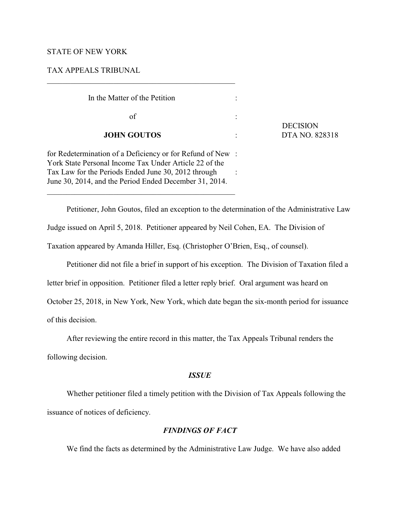## STATE OF NEW YORK

## TAX APPEALS TRIBUNAL

| In the Matter of the Petition                                                                                                                                                                                                                                                         |  |
|---------------------------------------------------------------------------------------------------------------------------------------------------------------------------------------------------------------------------------------------------------------------------------------|--|
| of                                                                                                                                                                                                                                                                                    |  |
| <b>JOHN GOUTOS</b>                                                                                                                                                                                                                                                                    |  |
| for Redetermination of a Deficiency or for Refund of New:<br>York State Personal Income Tax Under Article 22 of the                                                                                                                                                                   |  |
| $T = I$ and $f = 0$ , $f = 0$ , $f = 1$ , $f = 1$ , $f = 1$ , $f = 0$ , $f = 0$ , $f = 1$ , $f = 1$ , $f = 1$ , $f = 0$ , $f = 1$ , $f = 0$ , $f = 1$ , $f = 0$ , $f = 0$ , $f = 0$ , $f = 0$ , $f = 0$ , $f = 0$ , $f = 0$ , $f = 0$ , $f = 0$ , $f = 0$ , $f = 0$ , $f = 0$ , $f =$ |  |

 DECISION **JOHN GOUTOS** : DTA NO. 828318

for Redetermination of a Deficiency or for Refund of New : York State Personal Income Tax Under Article 22 of the Tax Law for the Periods Ended June 30, 2012 through : June 30, 2014, and the Period Ended December 31, 2014.

\_\_\_\_\_\_\_\_\_\_\_\_\_\_\_\_\_\_\_\_\_\_\_\_\_\_\_\_\_\_\_\_\_\_\_\_\_\_\_\_\_\_\_\_\_\_\_\_

Petitioner, John Goutos, filed an exception to the determination of the Administrative Law

Judge issued on April 5, 2018. Petitioner appeared by Neil Cohen, EA. The Division of

Taxation appeared by Amanda Hiller, Esq. (Christopher O'Brien, Esq., of counsel).

Petitioner did not file a brief in support of his exception. The Division of Taxation filed a

letter brief in opposition. Petitioner filed a letter reply brief. Oral argument was heard on

October 25, 2018, in New York, New York, which date began the six-month period for issuance

of this decision.

After reviewing the entire record in this matter, the Tax Appeals Tribunal renders the

following decision.

## *ISSUE*

Whether petitioner filed a timely petition with the Division of Tax Appeals following the issuance of notices of deficiency.

# *FINDINGS OF FACT*

We find the facts as determined by the Administrative Law Judge. We have also added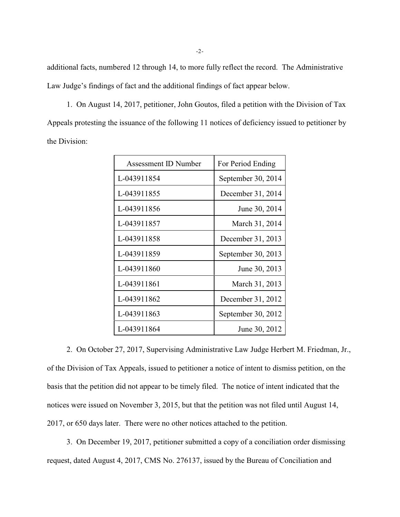additional facts, numbered 12 through 14, to more fully reflect the record. The Administrative Law Judge's findings of fact and the additional findings of fact appear below.

1. On August 14, 2017, petitioner, John Goutos, filed a petition with the Division of Tax Appeals protesting the issuance of the following 11 notices of deficiency issued to petitioner by the Division:

| Assessment ID Number | For Period Ending  |
|----------------------|--------------------|
| L-043911854          | September 30, 2014 |
| L-043911855          | December 31, 2014  |
| L-043911856          | June 30, 2014      |
| L-043911857          | March 31, 2014     |
| L-043911858          | December 31, 2013  |
| L-043911859          | September 30, 2013 |
| L-043911860          | June 30, 2013      |
| L-043911861          | March 31, 2013     |
| L-043911862          | December 31, 2012  |
| L-043911863          | September 30, 2012 |
| L-043911864          | June 30, 2012      |

2. On October 27, 2017, Supervising Administrative Law Judge Herbert M. Friedman, Jr., of the Division of Tax Appeals, issued to petitioner a notice of intent to dismiss petition, on the basis that the petition did not appear to be timely filed. The notice of intent indicated that the notices were issued on November 3, 2015, but that the petition was not filed until August 14, 2017, or 650 days later. There were no other notices attached to the petition.

3. On December 19, 2017, petitioner submitted a copy of a conciliation order dismissing request, dated August 4, 2017, CMS No. 276137, issued by the Bureau of Conciliation and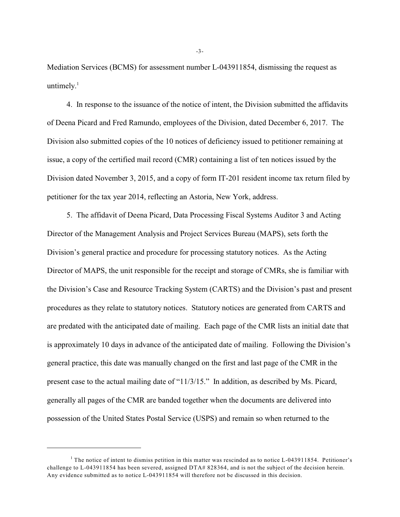Mediation Services (BCMS) for assessment number L-043911854, dismissing the request as untimely. $1$ 

4. In response to the issuance of the notice of intent, the Division submitted the affidavits of Deena Picard and Fred Ramundo, employees of the Division, dated December 6, 2017. The Division also submitted copies of the 10 notices of deficiency issued to petitioner remaining at issue, a copy of the certified mail record (CMR) containing a list of ten notices issued by the Division dated November 3, 2015, and a copy of form IT-201 resident income tax return filed by petitioner for the tax year 2014, reflecting an Astoria, New York, address.

5. The affidavit of Deena Picard, Data Processing Fiscal Systems Auditor 3 and Acting Director of the Management Analysis and Project Services Bureau (MAPS), sets forth the Division's general practice and procedure for processing statutory notices. As the Acting Director of MAPS, the unit responsible for the receipt and storage of CMRs, she is familiar with the Division's Case and Resource Tracking System (CARTS) and the Division's past and present procedures as they relate to statutory notices. Statutory notices are generated from CARTS and are predated with the anticipated date of mailing. Each page of the CMR lists an initial date that is approximately 10 days in advance of the anticipated date of mailing. Following the Division's general practice, this date was manually changed on the first and last page of the CMR in the present case to the actual mailing date of "11/3/15." In addition, as described by Ms. Picard, generally all pages of the CMR are banded together when the documents are delivered into possession of the United States Postal Service (USPS) and remain so when returned to the

-3-

 $1$  The notice of intent to dismiss petition in this matter was rescinded as to notice L-043911854. Petitioner's challenge to L-043911854 has been severed, assigned DTA# 828364, and is not the subject of the decision herein. Any evidence submitted as to notice L-043911854 will therefore not be discussed in this decision.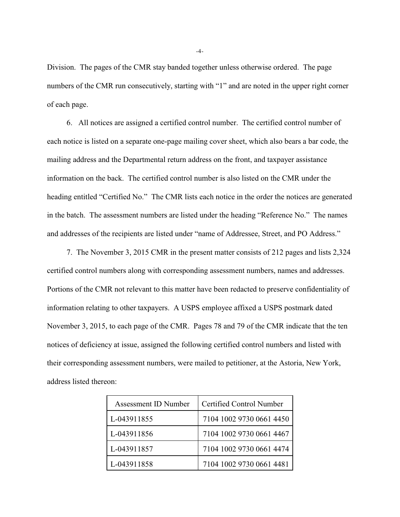Division. The pages of the CMR stay banded together unless otherwise ordered. The page numbers of the CMR run consecutively, starting with "1" and are noted in the upper right corner of each page.

6. All notices are assigned a certified control number. The certified control number of each notice is listed on a separate one-page mailing cover sheet, which also bears a bar code, the mailing address and the Departmental return address on the front, and taxpayer assistance information on the back. The certified control number is also listed on the CMR under the heading entitled "Certified No." The CMR lists each notice in the order the notices are generated in the batch. The assessment numbers are listed under the heading "Reference No." The names and addresses of the recipients are listed under "name of Addressee, Street, and PO Address."

7. The November 3, 2015 CMR in the present matter consists of 212 pages and lists 2,324 certified control numbers along with corresponding assessment numbers, names and addresses. Portions of the CMR not relevant to this matter have been redacted to preserve confidentiality of information relating to other taxpayers. A USPS employee affixed a USPS postmark dated November 3, 2015, to each page of the CMR. Pages 78 and 79 of the CMR indicate that the ten notices of deficiency at issue, assigned the following certified control numbers and listed with their corresponding assessment numbers, were mailed to petitioner, at the Astoria, New York, address listed thereon:

| Assessment ID Number | Certified Control Number |
|----------------------|--------------------------|
| L-043911855          | 7104 1002 9730 0661 4450 |
| L-043911856          | 7104 1002 9730 0661 4467 |
| L-043911857          | 7104 1002 9730 0661 4474 |
| L-043911858          | 7104 1002 9730 0661 4481 |

-4-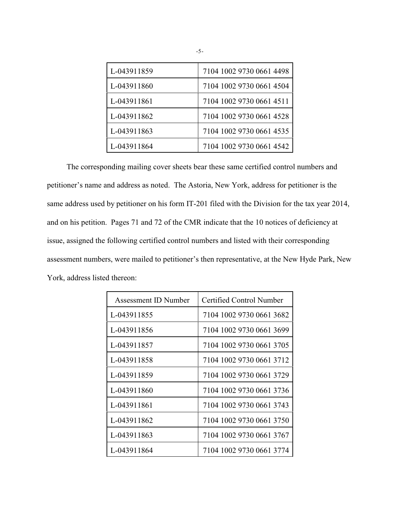| L-043911859 | 7104 1002 9730 0661 4498 |
|-------------|--------------------------|
| L-043911860 | 7104 1002 9730 0661 4504 |
| L-043911861 | 7104 1002 9730 0661 4511 |
| L-043911862 | 7104 1002 9730 0661 4528 |
| L-043911863 | 7104 1002 9730 0661 4535 |
| L-043911864 | 7104 1002 9730 0661 4542 |

The corresponding mailing cover sheets bear these same certified control numbers and petitioner's name and address as noted. The Astoria, New York, address for petitioner is the same address used by petitioner on his form IT-201 filed with the Division for the tax year 2014, and on his petition. Pages 71 and 72 of the CMR indicate that the 10 notices of deficiency at issue, assigned the following certified control numbers and listed with their corresponding assessment numbers, were mailed to petitioner's then representative, at the New Hyde Park, New York, address listed thereon:

| Assessment ID Number | Certified Control Number |
|----------------------|--------------------------|
| L-043911855          | 7104 1002 9730 0661 3682 |
| L-043911856          | 7104 1002 9730 0661 3699 |
| L-043911857          | 7104 1002 9730 0661 3705 |
| L-043911858          | 7104 1002 9730 0661 3712 |
| L-043911859          | 7104 1002 9730 0661 3729 |
| L-043911860          | 7104 1002 9730 0661 3736 |
| L-043911861          | 7104 1002 9730 0661 3743 |
| L-043911862          | 7104 1002 9730 0661 3750 |
| L-043911863          | 7104 1002 9730 0661 3767 |
| L-043911864          | 7104 1002 9730 0661 3774 |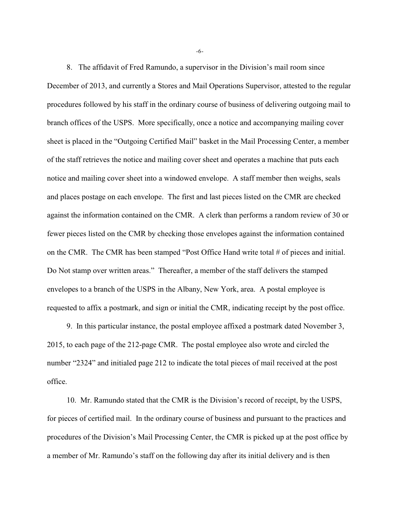8. The affidavit of Fred Ramundo, a supervisor in the Division's mail room since December of 2013, and currently a Stores and Mail Operations Supervisor, attested to the regular procedures followed by his staff in the ordinary course of business of delivering outgoing mail to branch offices of the USPS. More specifically, once a notice and accompanying mailing cover sheet is placed in the "Outgoing Certified Mail" basket in the Mail Processing Center, a member of the staff retrieves the notice and mailing cover sheet and operates a machine that puts each notice and mailing cover sheet into a windowed envelope. A staff member then weighs, seals and places postage on each envelope. The first and last pieces listed on the CMR are checked against the information contained on the CMR. A clerk than performs a random review of 30 or fewer pieces listed on the CMR by checking those envelopes against the information contained on the CMR. The CMR has been stamped "Post Office Hand write total # of pieces and initial. Do Not stamp over written areas." Thereafter, a member of the staff delivers the stamped envelopes to a branch of the USPS in the Albany, New York, area. A postal employee is requested to affix a postmark, and sign or initial the CMR, indicating receipt by the post office.

9. In this particular instance, the postal employee affixed a postmark dated November 3, 2015, to each page of the 212-page CMR. The postal employee also wrote and circled the number "2324" and initialed page 212 to indicate the total pieces of mail received at the post office.

10. Mr. Ramundo stated that the CMR is the Division's record of receipt, by the USPS, for pieces of certified mail. In the ordinary course of business and pursuant to the practices and procedures of the Division's Mail Processing Center, the CMR is picked up at the post office by a member of Mr. Ramundo's staff on the following day after its initial delivery and is then

-6-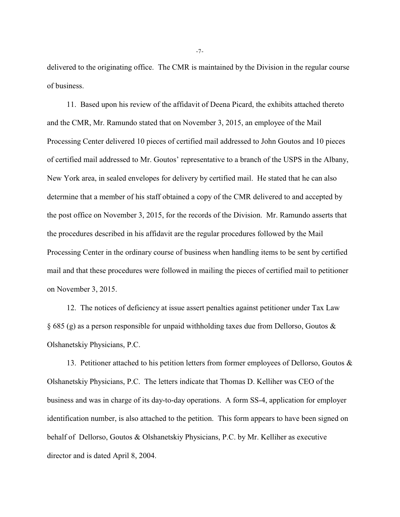delivered to the originating office. The CMR is maintained by the Division in the regular course of business.

11. Based upon his review of the affidavit of Deena Picard, the exhibits attached thereto and the CMR, Mr. Ramundo stated that on November 3, 2015, an employee of the Mail Processing Center delivered 10 pieces of certified mail addressed to John Goutos and 10 pieces of certified mail addressed to Mr. Goutos' representative to a branch of the USPS in the Albany, New York area, in sealed envelopes for delivery by certified mail. He stated that he can also determine that a member of his staff obtained a copy of the CMR delivered to and accepted by the post office on November 3, 2015, for the records of the Division. Mr. Ramundo asserts that the procedures described in his affidavit are the regular procedures followed by the Mail Processing Center in the ordinary course of business when handling items to be sent by certified mail and that these procedures were followed in mailing the pieces of certified mail to petitioner on November 3, 2015.

12. The notices of deficiency at issue assert penalties against petitioner under Tax Law § 685 (g) as a person responsible for unpaid withholding taxes due from Dellorso, Goutos & Olshanetskiy Physicians, P.C.

13. Petitioner attached to his petition letters from former employees of Dellorso, Goutos & Olshanetskiy Physicians, P.C. The letters indicate that Thomas D. Kelliher was CEO of the business and was in charge of its day-to-day operations. A form SS-4, application for employer identification number, is also attached to the petition. This form appears to have been signed on behalf of Dellorso, Goutos & Olshanetskiy Physicians, P.C. by Mr. Kelliher as executive director and is dated April 8, 2004.

-7-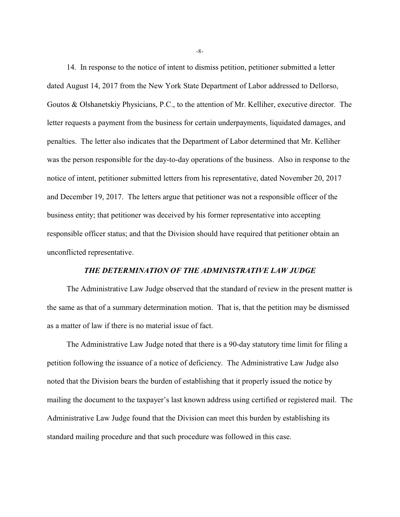14. In response to the notice of intent to dismiss petition, petitioner submitted a letter dated August 14, 2017 from the New York State Department of Labor addressed to Dellorso, Goutos & Olshanetskiy Physicians, P.C., to the attention of Mr. Kelliher, executive director. The letter requests a payment from the business for certain underpayments, liquidated damages, and penalties. The letter also indicates that the Department of Labor determined that Mr. Kelliher was the person responsible for the day-to-day operations of the business. Also in response to the notice of intent, petitioner submitted letters from his representative, dated November 20, 2017 and December 19, 2017. The letters argue that petitioner was not a responsible officer of the business entity; that petitioner was deceived by his former representative into accepting responsible officer status; and that the Division should have required that petitioner obtain an unconflicted representative.

## *THE DETERMINATION OF THE ADMINISTRATIVE LAW JUDGE*

The Administrative Law Judge observed that the standard of review in the present matter is the same as that of a summary determination motion. That is, that the petition may be dismissed as a matter of law if there is no material issue of fact.

The Administrative Law Judge noted that there is a 90-day statutory time limit for filing a petition following the issuance of a notice of deficiency. The Administrative Law Judge also noted that the Division bears the burden of establishing that it properly issued the notice by mailing the document to the taxpayer's last known address using certified or registered mail. The Administrative Law Judge found that the Division can meet this burden by establishing its standard mailing procedure and that such procedure was followed in this case.

-8-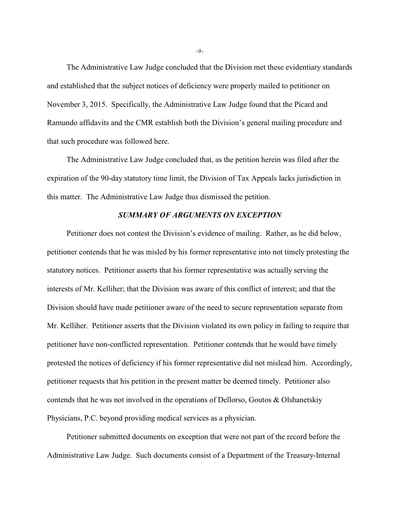The Administrative Law Judge concluded that the Division met these evidentiary standards and established that the subject notices of deficiency were properly mailed to petitioner on November 3, 2015. Specifically, the Administrative Law Judge found that the Picard and Ramundo affidavits and the CMR establish both the Division's general mailing procedure and that such procedure was followed here.

The Administrative Law Judge concluded that, as the petition herein was filed after the expiration of the 90-day statutory time limit, the Division of Tax Appeals lacks jurisdiction in this matter. The Administrative Law Judge thus dismissed the petition.

# *SUMMARY OF ARGUMENTS ON EXCEPTION*

Petitioner does not contest the Division's evidence of mailing. Rather, as he did below, petitioner contends that he was misled by his former representative into not timely protesting the statutory notices. Petitioner asserts that his former representative was actually serving the interests of Mr. Kelliher; that the Division was aware of this conflict of interest; and that the Division should have made petitioner aware of the need to secure representation separate from Mr. Kelliher. Petitioner asserts that the Division violated its own policy in failing to require that petitioner have non-conflicted representation. Petitioner contends that he would have timely protested the notices of deficiency if his former representative did not mislead him. Accordingly, petitioner requests that his petition in the present matter be deemed timely. Petitioner also contends that he was not involved in the operations of Dellorso, Goutos & Olshanetskiy Physicians, P.C. beyond providing medical services as a physician.

Petitioner submitted documents on exception that were not part of the record before the Administrative Law Judge. Such documents consist of a Department of the Treasury-Internal

-9-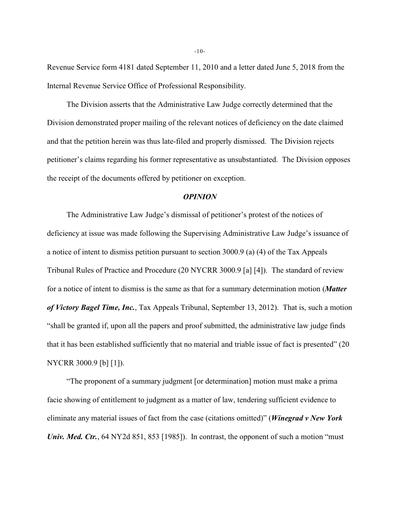Revenue Service form 4181 dated September 11, 2010 and a letter dated June 5, 2018 from the Internal Revenue Service Office of Professional Responsibility.

The Division asserts that the Administrative Law Judge correctly determined that the Division demonstrated proper mailing of the relevant notices of deficiency on the date claimed and that the petition herein was thus late-filed and properly dismissed. The Division rejects petitioner's claims regarding his former representative as unsubstantiated. The Division opposes the receipt of the documents offered by petitioner on exception.

#### *OPINION*

The Administrative Law Judge's dismissal of petitioner's protest of the notices of deficiency at issue was made following the Supervising Administrative Law Judge's issuance of a notice of intent to dismiss petition pursuant to section 3000.9 (a) (4) of the Tax Appeals Tribunal Rules of Practice and Procedure (20 NYCRR 3000.9 [a] [4]). The standard of review for a notice of intent to dismiss is the same as that for a summary determination motion (*Matter of Victory Bagel Time, Inc.*, Tax Appeals Tribunal, September 13, 2012). That is, such a motion "shall be granted if, upon all the papers and proof submitted, the administrative law judge finds that it has been established sufficiently that no material and triable issue of fact is presented" (20 NYCRR 3000.9 [b] [1]).

"The proponent of a summary judgment [or determination] motion must make a prima facie showing of entitlement to judgment as a matter of law, tendering sufficient evidence to eliminate any material issues of fact from the case (citations omitted)" (*Winegrad v New York Univ. Med. Ctr.*, 64 NY2d 851, 853 [1985]). In contrast, the opponent of such a motion "must"

-10-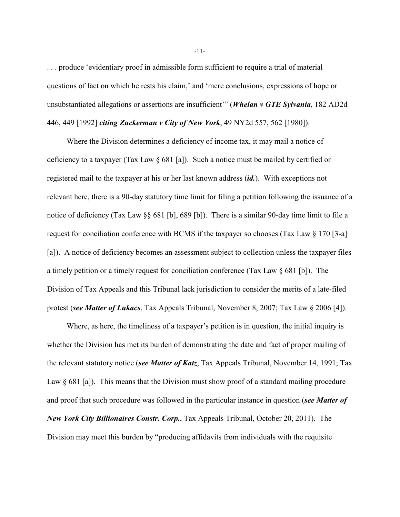. . . produce 'evidentiary proof in admissible form sufficient to require a trial of material questions of fact on which he rests his claim,' and 'mere conclusions, expressions of hope or unsubstantiated allegations or assertions are insufficient'" (*Whelan v GTE Sylvania*, 182 AD2d 446, 449 [1992] *citing Zuckerman v City of New York*, 49 NY2d 557, 562 [1980]).

Where the Division determines a deficiency of income tax, it may mail a notice of deficiency to a taxpayer (Tax Law § 681 [a]). Such a notice must be mailed by certified or registered mail to the taxpayer at his or her last known address (*id.*). With exceptions not relevant here, there is a 90-day statutory time limit for filing a petition following the issuance of a notice of deficiency (Tax Law §§ 681 [b], 689 [b]). There is a similar 90-day time limit to file a request for conciliation conference with BCMS if the taxpayer so chooses (Tax Law § 170 [3-a] [a]). A notice of deficiency becomes an assessment subject to collection unless the taxpayer files a timely petition or a timely request for conciliation conference (Tax Law § 681 [b]). The Division of Tax Appeals and this Tribunal lack jurisdiction to consider the merits of a late-filed protest (*see Matter of Lukacs*, Tax Appeals Tribunal, November 8, 2007; Tax Law § 2006 [4]).

Where, as here, the timeliness of a taxpayer's petition is in question, the initial inquiry is whether the Division has met its burden of demonstrating the date and fact of proper mailing of the relevant statutory notice (*see Matter of Katz*, Tax Appeals Tribunal, November 14, 1991; Tax Law  $\S 681$  [a]). This means that the Division must show proof of a standard mailing procedure and proof that such procedure was followed in the particular instance in question (*see Matter of New York City Billionaires Constr. Corp.*, Tax Appeals Tribunal, October 20, 2011). The Division may meet this burden by "producing affidavits from individuals with the requisite

-11-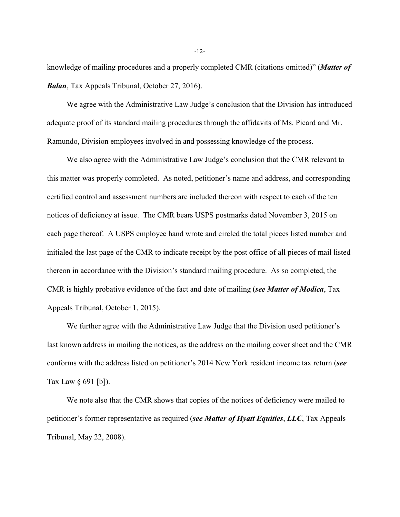knowledge of mailing procedures and a properly completed CMR (citations omitted)" (*Matter of Balan*, Tax Appeals Tribunal, October 27, 2016).

We agree with the Administrative Law Judge's conclusion that the Division has introduced adequate proof of its standard mailing procedures through the affidavits of Ms. Picard and Mr. Ramundo, Division employees involved in and possessing knowledge of the process.

We also agree with the Administrative Law Judge's conclusion that the CMR relevant to this matter was properly completed. As noted, petitioner's name and address, and corresponding certified control and assessment numbers are included thereon with respect to each of the ten notices of deficiency at issue. The CMR bears USPS postmarks dated November 3, 2015 on each page thereof. A USPS employee hand wrote and circled the total pieces listed number and initialed the last page of the CMR to indicate receipt by the post office of all pieces of mail listed thereon in accordance with the Division's standard mailing procedure. As so completed, the CMR is highly probative evidence of the fact and date of mailing (*see Matter of Modica*, Tax Appeals Tribunal, October 1, 2015).

We further agree with the Administrative Law Judge that the Division used petitioner's last known address in mailing the notices, as the address on the mailing cover sheet and the CMR conforms with the address listed on petitioner's 2014 New York resident income tax return (*see* Tax Law § 691 [b]).

We note also that the CMR shows that copies of the notices of deficiency were mailed to petitioner's former representative as required (*see Matter of Hyatt Equities*, *LLC*, Tax Appeals Tribunal, May 22, 2008).

-12-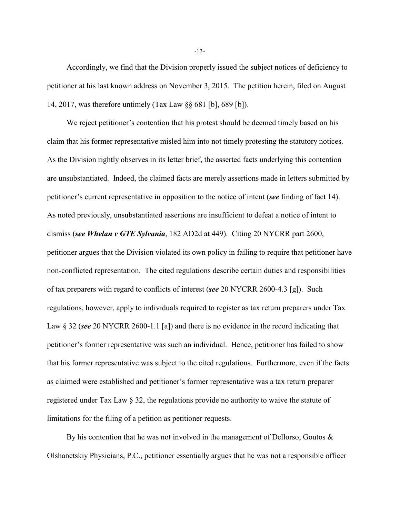Accordingly, we find that the Division properly issued the subject notices of deficiency to petitioner at his last known address on November 3, 2015. The petition herein, filed on August 14, 2017, was therefore untimely (Tax Law §§ 681 [b], 689 [b]).

We reject petitioner's contention that his protest should be deemed timely based on his claim that his former representative misled him into not timely protesting the statutory notices. As the Division rightly observes in its letter brief, the asserted facts underlying this contention are unsubstantiated. Indeed, the claimed facts are merely assertions made in letters submitted by petitioner's current representative in opposition to the notice of intent (*see* finding of fact 14). As noted previously, unsubstantiated assertions are insufficient to defeat a notice of intent to dismiss (*see Whelan v GTE Sylvania*, 182 AD2d at 449). Citing 20 NYCRR part 2600, petitioner argues that the Division violated its own policy in failing to require that petitioner have non-conflicted representation. The cited regulations describe certain duties and responsibilities of tax preparers with regard to conflicts of interest (*see* 20 NYCRR 2600-4.3 [g]). Such regulations, however, apply to individuals required to register as tax return preparers under Tax Law § 32 (*see* 20 NYCRR 2600-1.1 [a]) and there is no evidence in the record indicating that petitioner's former representative was such an individual. Hence, petitioner has failed to show that his former representative was subject to the cited regulations. Furthermore, even if the facts as claimed were established and petitioner's former representative was a tax return preparer registered under Tax Law § 32, the regulations provide no authority to waive the statute of limitations for the filing of a petition as petitioner requests.

By his contention that he was not involved in the management of Dellorso, Goutos  $\&$ Olshanetskiy Physicians, P.C., petitioner essentially argues that he was not a responsible officer

-13-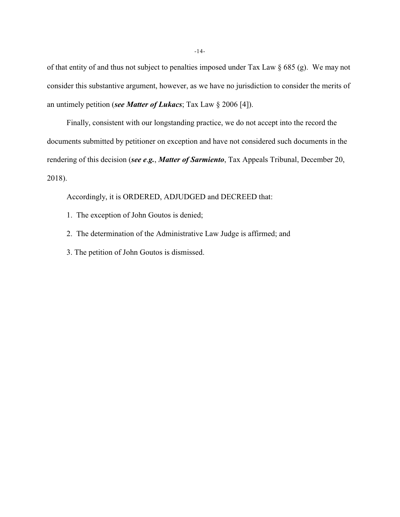of that entity of and thus not subject to penalties imposed under Tax Law § 685 (g). We may not consider this substantive argument, however, as we have no jurisdiction to consider the merits of an untimely petition (*see Matter of Lukacs*; Tax Law § 2006 [4]).

Finally, consistent with our longstanding practice, we do not accept into the record the documents submitted by petitioner on exception and have not considered such documents in the rendering of this decision (*see e*.*g.*, *Matter of Sarmiento*, Tax Appeals Tribunal, December 20, 2018).

Accordingly, it is ORDERED, ADJUDGED and DECREED that:

- 1. The exception of John Goutos is denied;
- 2. The determination of the Administrative Law Judge is affirmed; and
- 3. The petition of John Goutos is dismissed.